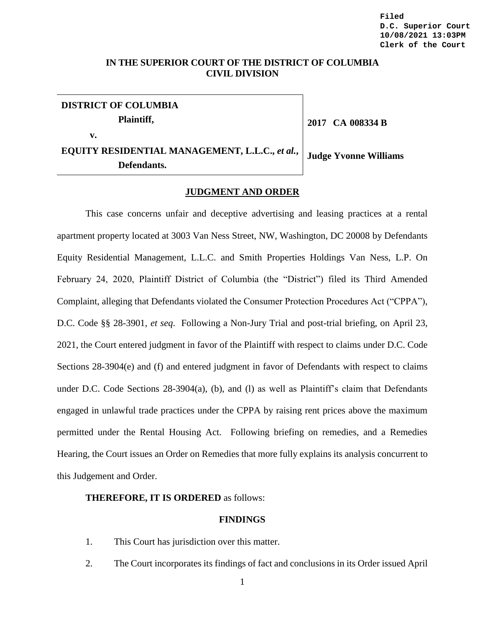# **IN THE SUPERIOR COURT OF THE DISTRICT OF COLUMBIA CIVIL DIVISION**

**DISTRICT OF COLUMBIA Plaintiff, v. EQUITY RESIDENTIAL MANAGEMENT, L.L.C.,** *et al.***, Defendants. Judge Yvonne Williams**

**2017 CA 008334 B** 

**JUDGMENT AND ORDER**

This case concerns unfair and deceptive advertising and leasing practices at a rental apartment property located at 3003 Van Ness Street, NW, Washington, DC 20008 by Defendants Equity Residential Management, L.L.C. and Smith Properties Holdings Van Ness, L.P. On February 24, 2020, Plaintiff District of Columbia (the "District") filed its Third Amended Complaint, alleging that Defendants violated the Consumer Protection Procedures Act ("CPPA"), D.C. Code §§ 28-3901, *et seq*. Following a Non-Jury Trial and post-trial briefing, on April 23, 2021, the Court entered judgment in favor of the Plaintiff with respect to claims under D.C. Code Sections 28-3904(e) and (f) and entered judgment in favor of Defendants with respect to claims under D.C. Code Sections 28-3904(a), (b), and (l) as well as Plaintiff's claim that Defendants engaged in unlawful trade practices under the CPPA by raising rent prices above the maximum permitted under the Rental Housing Act. Following briefing on remedies, and a Remedies Hearing, the Court issues an Order on Remedies that more fully explains its analysis concurrent to this Judgement and Order.

## **THEREFORE, IT IS ORDERED** as follows:

#### **FINDINGS**

- 1. This Court has jurisdiction over this matter.
- 2. The Court incorporates its findings of fact and conclusions in its Order issued April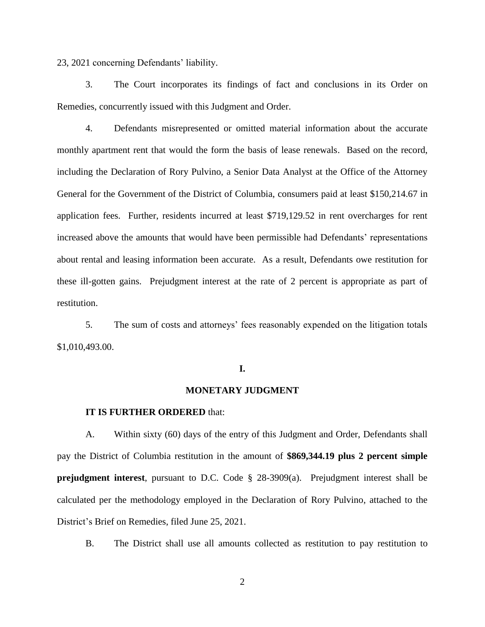23, 2021 concerning Defendants' liability.

3. The Court incorporates its findings of fact and conclusions in its Order on Remedies, concurrently issued with this Judgment and Order.

4. Defendants misrepresented or omitted material information about the accurate monthly apartment rent that would the form the basis of lease renewals. Based on the record, including the Declaration of Rory Pulvino, a Senior Data Analyst at the Office of the Attorney General for the Government of the District of Columbia, consumers paid at least \$150,214.67 in application fees. Further, residents incurred at least \$719,129.52 in rent overcharges for rent increased above the amounts that would have been permissible had Defendants' representations about rental and leasing information been accurate. As a result, Defendants owe restitution for these ill-gotten gains. Prejudgment interest at the rate of 2 percent is appropriate as part of restitution.

5. The sum of costs and attorneys' fees reasonably expended on the litigation totals \$1,010,493.00.

## **I.**

## **MONETARY JUDGMENT**

#### **IT IS FURTHER ORDERED** that:

A. Within sixty (60) days of the entry of this Judgment and Order, Defendants shall pay the District of Columbia restitution in the amount of **\$869,344.19 plus 2 percent simple prejudgment interest**, pursuant to D.C. Code § 28-3909(a). Prejudgment interest shall be calculated per the methodology employed in the Declaration of Rory Pulvino, attached to the District's Brief on Remedies, filed June 25, 2021.

B. The District shall use all amounts collected as restitution to pay restitution to

2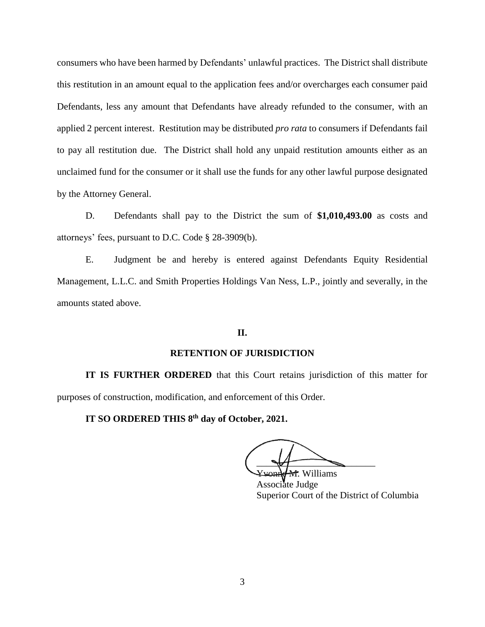consumers who have been harmed by Defendants' unlawful practices. The District shall distribute this restitution in an amount equal to the application fees and/or overcharges each consumer paid Defendants, less any amount that Defendants have already refunded to the consumer, with an applied 2 percent interest. Restitution may be distributed *pro rata* to consumers if Defendants fail to pay all restitution due. The District shall hold any unpaid restitution amounts either as an unclaimed fund for the consumer or it shall use the funds for any other lawful purpose designated by the Attorney General.

D. Defendants shall pay to the District the sum of **\$1,010,493.00** as costs and attorneys' fees, pursuant to D.C. Code § 28-3909(b).

E. Judgment be and hereby is entered against Defendants Equity Residential Management, L.L.C. and Smith Properties Holdings Van Ness, L.P., jointly and severally, in the amounts stated above.

# **II.**

# **RETENTION OF JURISDICTION**

**IT IS FURTHER ORDERED** that this Court retains jurisdiction of this matter for purposes of construction, modification, and enforcement of this Order.

**IT SO ORDERED THIS 8th day of October, 2021.**

 $\overline{\phantom{a}}$ 

**M.** Williams Associate Judge Superior Court of the District of Columbia